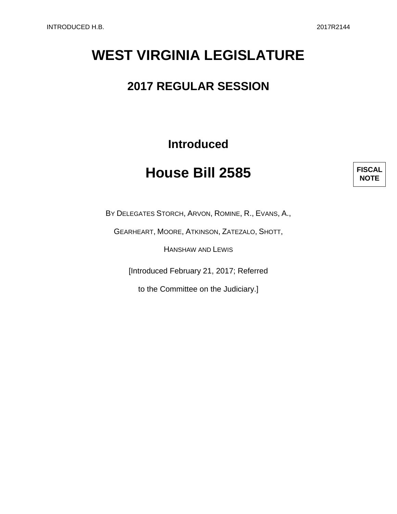# **WEST VIRGINIA LEGISLATURE**

### **2017 REGULAR SESSION**

**Introduced**

## **House Bill 2585**



BY DELEGATES STORCH, ARVON, ROMINE, R., EVANS, A.,

GEARHEART, MOORE, ATKINSON, ZATEZALO, SHOTT,

HANSHAW AND LEWIS

[Introduced February 21, 2017; Referred

to the Committee on the Judiciary.]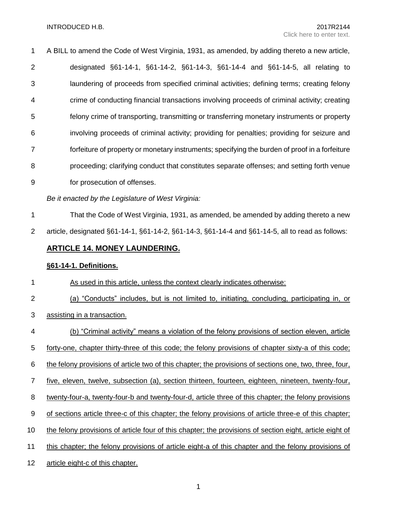A BILL to amend the Code of West Virginia, 1931, as amended, by adding thereto a new article, designated §61-14-1, §61-14-2, §61-14-3, §61-14-4 and §61-14-5, all relating to laundering of proceeds from specified criminal activities; defining terms; creating felony crime of conducting financial transactions involving proceeds of criminal activity; creating felony crime of transporting, transmitting or transferring monetary instruments or property involving proceeds of criminal activity; providing for penalties; providing for seizure and forfeiture of property or monetary instruments; specifying the burden of proof in a forfeiture proceeding; clarifying conduct that constitutes separate offenses; and setting forth venue for prosecution of offenses.

*Be it enacted by the Legislature of West Virginia:*

 That the Code of West Virginia, 1931, as amended, be amended by adding thereto a new article, designated §61-14-1, §61-14-2, §61-14-3, §61-14-4 and §61-14-5, all to read as follows:

#### **ARTICLE 14. MONEY LAUNDERING.**

#### **§61-14-1. Definitions.**

#### As used in this article, unless the context clearly indicates otherwise:

 (a) "Conducts" includes, but is not limited to, initiating, concluding, participating in, or assisting in a transaction.

 (b) "Criminal activity" means a violation of the felony provisions of section eleven, article forty-one, chapter thirty-three of this code; the felony provisions of chapter sixty-a of this code; the felony provisions of article two of this chapter; the provisions of sections one, two, three, four, five, eleven, twelve, subsection (a), section thirteen, fourteen, eighteen, nineteen, twenty-four, twenty-four-a, twenty-four-b and twenty-four-d, article three of this chapter; the felony provisions of sections article three-c of this chapter; the felony provisions of article three-e of this chapter; the felony provisions of article four of this chapter; the provisions of section eight, article eight of this chapter; the felony provisions of article eight-a of this chapter and the felony provisions of

article eight-c of this chapter.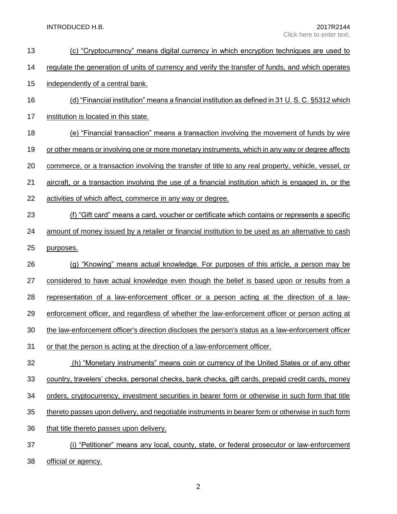| 13 | (c) "Cryptocurrency" means digital currency in which encryption techniques are used to               |
|----|------------------------------------------------------------------------------------------------------|
| 14 | regulate the generation of units of currency and verify the transfer of funds, and which operates    |
| 15 | independently of a central bank.                                                                     |
| 16 | (d) "Financial institution" means a financial institution as defined in 31 U. S. C. §5312 which      |
| 17 | institution is located in this state.                                                                |
| 18 | (e) "Financial transaction" means a transaction involving the movement of funds by wire              |
| 19 | or other means or involving one or more monetary instruments, which in any way or degree affects     |
| 20 | commerce, or a transaction involving the transfer of title to any real property, vehicle, vessel, or |
| 21 | aircraft, or a transaction involving the use of a financial institution which is engaged in, or the  |
| 22 | activities of which affect, commerce in any way or degree.                                           |
| 23 | (f) "Gift card" means a card, voucher or certificate which contains or represents a specific         |
| 24 | amount of money issued by a retailer or financial institution to be used as an alternative to cash   |
| 25 | purposes.                                                                                            |
| 26 | (g) "Knowing" means actual knowledge. For purposes of this article, a person may be                  |
| 27 | <u>considered to have actual knowledge even though the belief is based upon or results from a</u>    |
| 28 | representation of a law-enforcement officer or a person acting at the direction of a law-            |
| 29 | enforcement officer, and regardless of whether the law-enforcement officer or person acting at       |
| 30 | the law-enforcement officer's direction discloses the person's status as a law-enforcement officer   |
| 31 | or that the person is acting at the direction of a law-enforcement officer.                          |
| 32 | (h) "Monetary instruments" means coin or currency of the United States or of any other               |
| 33 | country, travelers' checks, personal checks, bank checks, gift cards, prepaid credit cards, money    |
| 34 | orders, cryptocurrency, investment securities in bearer form or otherwise in such form that title    |
| 35 | thereto passes upon delivery, and negotiable instruments in bearer form or otherwise in such form    |
| 36 | that title thereto passes upon delivery.                                                             |
| 37 | (i) "Petitioner" means any local, county, state, or federal prosecutor or law-enforcement            |
| 38 | official or agency.                                                                                  |

2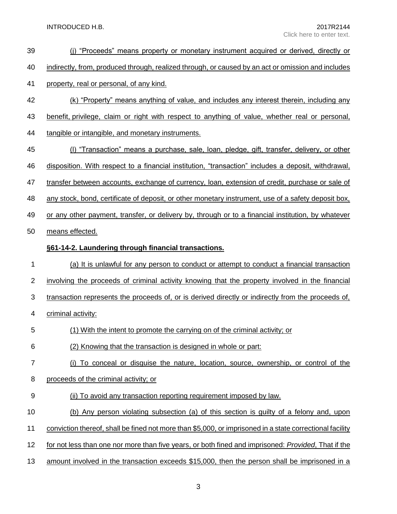| 39             | (i) "Proceeds" means property or monetary instrument acquired or derived, directly or                    |
|----------------|----------------------------------------------------------------------------------------------------------|
| 40             | indirectly, from, produced through, realized through, or caused by an act or omission and includes       |
| 41             | property, real or personal, of any kind.                                                                 |
| 42             | (k) "Property" means anything of value, and includes any interest therein, including any                 |
| 43             | benefit, privilege, claim or right with respect to anything of value, whether real or personal,          |
| 44             | tangible or intangible, and monetary instruments.                                                        |
| 45             | (I) "Transaction" means a purchase, sale, loan, pledge, gift, transfer, delivery, or other               |
| 46             | disposition. With respect to a financial institution, "transaction" includes a deposit, withdrawal,      |
| 47             | transfer between accounts, exchange of currency, loan, extension of credit, purchase or sale of          |
| 48             | any stock, bond, certificate of deposit, or other monetary instrument, use of a safety deposit box,      |
| 49             | or any other payment, transfer, or delivery by, through or to a financial institution, by whatever       |
| 50             | means effected.                                                                                          |
|                | §61-14-2. Laundering through financial transactions.                                                     |
| 1              | (a) It is unlawful for any person to conduct or attempt to conduct a financial transaction               |
| $\overline{2}$ | involving the proceeds of criminal activity knowing that the property involved in the financial          |
| 3              | transaction represents the proceeds of, or is derived directly or indirectly from the proceeds of,       |
| 4              | criminal activity:                                                                                       |
| 5              | (1) With the intent to promote the carrying on of the criminal activity; or                              |
| 6              | (2) Knowing that the transaction is designed in whole or part:                                           |
| $\overline{7}$ | To conceal or disguise the nature, location, source, ownership, or control of the<br>(i)                 |
| 8              | proceeds of the criminal activity; or                                                                    |
| 9              | (ii) To avoid any transaction reporting requirement imposed by law.                                      |
| 10             | (b) Any person violating subsection (a) of this section is quilty of a felony and, upon                  |
| 11             | conviction thereof, shall be fined not more than \$5,000, or imprisoned in a state correctional facility |
| 12             | for not less than one nor more than five years, or both fined and imprisoned: Provided, That if the      |
| 13             | amount involved in the transaction exceeds \$15,000, then the person shall be imprisoned in a            |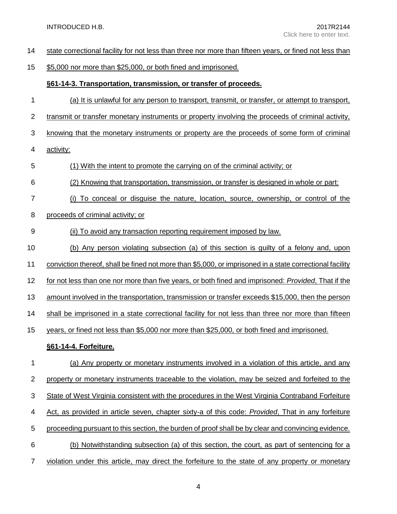| 14                      | state correctional facility for not less than three nor more than fifteen years, or fined not less than  |
|-------------------------|----------------------------------------------------------------------------------------------------------|
| 15                      | \$5,000 nor more than \$25,000, or both fined and imprisoned.                                            |
|                         | §61-14-3. Transportation, transmission, or transfer of proceeds.                                         |
| 1                       | (a) It is unlawful for any person to transport, transmit, or transfer, or attempt to transport,          |
| $\overline{2}$          | transmit or transfer monetary instruments or property involving the proceeds of criminal activity,       |
| 3                       | knowing that the monetary instruments or property are the proceeds of some form of criminal              |
| 4                       | activity:                                                                                                |
| 5                       | (1) With the intent to promote the carrying on of the criminal activity; or                              |
| 6                       | (2) Knowing that transportation, transmission, or transfer is designed in whole or part:                 |
| $\overline{7}$          | (i) To conceal or disguise the nature, location, source, ownership, or control of the                    |
| 8                       | proceeds of criminal activity; or                                                                        |
| 9                       | (ii) To avoid any transaction reporting requirement imposed by law.                                      |
| 10                      | (b) Any person violating subsection (a) of this section is guilty of a felony and, upon                  |
| 11                      | conviction thereof, shall be fined not more than \$5,000, or imprisoned in a state correctional facility |
| 12                      | for not less than one nor more than five years, or both fined and imprisoned: Provided, That if the      |
| 13                      | amount involved in the transportation, transmission or transfer exceeds \$15,000, then the person        |
| 14                      | shall be imprisoned in a state correctional facility for not less than three nor more than fifteen       |
| 15                      | years, or fined not less than \$5,000 nor more than \$25,000, or both fined and imprisoned.              |
|                         | §61-14-4. Forfeiture.                                                                                    |
| 1                       | (a) Any property or monetary instruments involved in a violation of this article, and any                |
| $\overline{\mathbf{c}}$ | property or monetary instruments traceable to the violation, may be seized and forfeited to the          |
| 3                       | State of West Virginia consistent with the procedures in the West Virginia Contraband Forfeiture         |
| 4                       | Act, as provided in article seven, chapter sixty-a of this code: Provided, That in any forfeiture        |
| 5                       | proceeding pursuant to this section, the burden of proof shall be by clear and convincing evidence.      |
| 6                       | (b) Notwithstanding subsection (a) of this section, the court, as part of sentencing for a               |

7 violation under this article, may direct the forfeiture to the state of any property or monetary